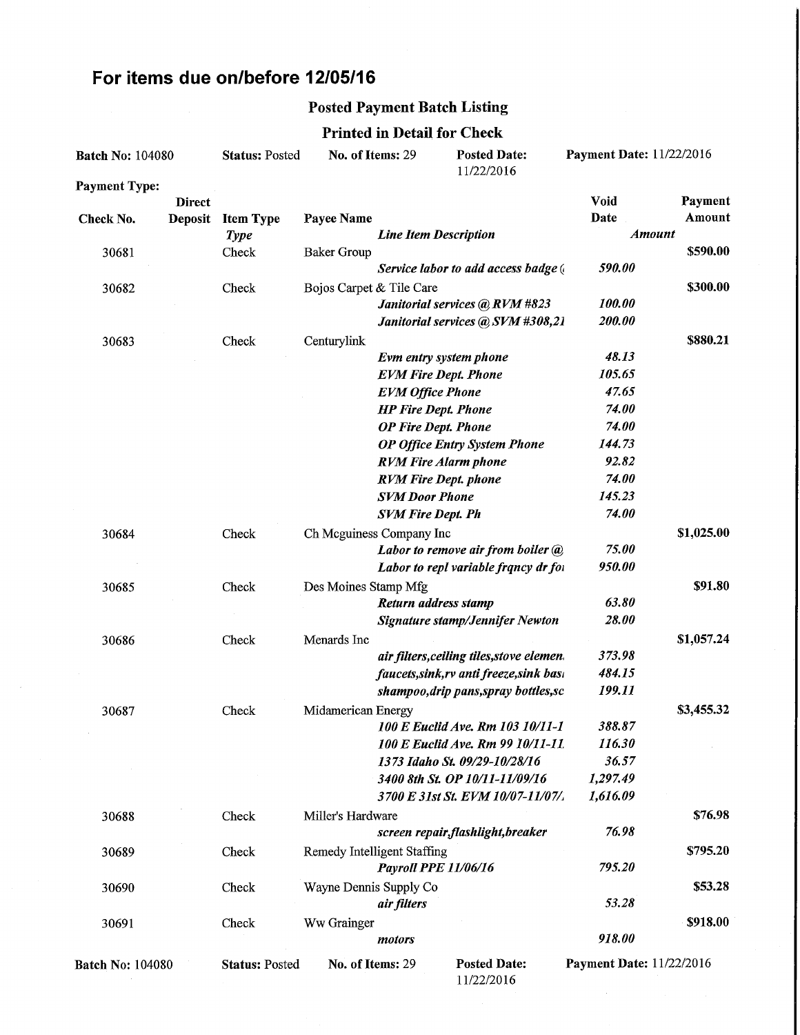# For items due on/before 12/05/16

#### Posted Payment Batch Listing

### Printed in Detail for Check

| <b>Batch No: 104080</b> |               | <b>Status: Posted</b>         | No. of Items: 29            |                                                        | <b>Posted Date:</b><br>11/22/2016         | Payment Date: 11/22/2016        |            |
|-------------------------|---------------|-------------------------------|-----------------------------|--------------------------------------------------------|-------------------------------------------|---------------------------------|------------|
| <b>Payment Type:</b>    |               |                               |                             |                                                        |                                           |                                 |            |
|                         | <b>Direct</b> |                               |                             |                                                        |                                           | <b>Void</b>                     | Payment    |
| Check No.               | Deposit       | <b>Item Type</b>              | Payee Name                  |                                                        |                                           | Date                            | Amount     |
|                         |               | <b>Type</b>                   |                             | <b>Line Item Description</b>                           |                                           | <b>Amount</b>                   |            |
| 30681                   |               | Check                         | <b>Baker Group</b>          |                                                        |                                           |                                 | \$590.00   |
|                         |               |                               |                             |                                                        | Service labor to add access badge (       | 590.00                          |            |
| 30682                   |               | Check                         | Bojos Carpet & Tile Care    |                                                        |                                           | 100.00                          | \$300.00   |
|                         |               |                               |                             |                                                        | Janitorial services @ RVM #823            | 200.00                          |            |
|                         |               |                               |                             |                                                        | Janitorial services @ SVM #308,21         |                                 |            |
| 30683                   |               | Check                         | Centurylink                 |                                                        |                                           | 48.13                           | \$880.21   |
|                         |               |                               |                             | Evm entry system phone                                 |                                           | 105.65                          |            |
|                         |               |                               |                             | <b>EVM Fire Dept. Phone</b><br><b>EVM Office Phone</b> |                                           | 47.65                           |            |
|                         |               |                               |                             | <b>HP Fire Dept. Phone</b>                             |                                           | 74.00                           |            |
|                         |               |                               |                             | <b>OP Fire Dept. Phone</b>                             |                                           | 74.00                           |            |
|                         |               |                               |                             |                                                        | <b>OP Office Entry System Phone</b>       | 144.73                          |            |
|                         |               |                               |                             | <b>RVM Fire Alarm phone</b>                            |                                           | 92.82                           |            |
|                         |               |                               |                             | <b>RVM Fire Dept. phone</b>                            |                                           | 74.00                           |            |
|                         |               |                               |                             | <b>SVM Door Phone</b>                                  |                                           | 145.23                          |            |
|                         |               |                               |                             | <b>SVM Fire Dept. Ph</b>                               |                                           | 74.00                           |            |
| 30684                   |               | Check                         |                             | Ch Mcguiness Company Inc                               |                                           |                                 | \$1,025.00 |
|                         |               |                               |                             |                                                        | Labor to remove air from boiler @         | 75.00                           |            |
|                         |               |                               |                             |                                                        | Labor to repl variable francy dr for      | 950.00                          |            |
| 30685                   |               | Des Moines Stamp Mfg<br>Check |                             |                                                        | \$91.80                                   |                                 |            |
|                         |               |                               |                             | Return address stamp                                   |                                           | 63.80                           |            |
|                         |               |                               |                             |                                                        | <b>Signature stamp/Jennifer Newton</b>    | 28.00                           |            |
| 30686                   |               | Check                         | Menards Inc                 |                                                        |                                           |                                 | \$1,057.24 |
|                         |               |                               |                             |                                                        | air filters, ceiling tiles, stove elemen. | 373.98                          |            |
|                         |               |                               |                             |                                                        | faucets, sink, rv anti freeze, sink basi  | 484.15                          |            |
|                         |               |                               |                             |                                                        | shampoo, drip pans, spray bottles, sc     | 199.11                          |            |
| 30687                   |               | Check                         | Midamerican Energy          |                                                        |                                           |                                 | \$3,455.32 |
|                         |               |                               |                             |                                                        | 100 E Euclid Ave. Rm 103 10/11-1          | 388.87                          |            |
|                         |               |                               |                             |                                                        | 100 E Euclid Ave. Rm 99 10/11-11.         | 116.30                          |            |
|                         |               |                               |                             |                                                        | 1373 Idaho St. 09/29-10/28/16             | 36.57                           |            |
|                         |               |                               |                             |                                                        | 3400 8th St. OP 10/11-11/09/16            | 1,297.49                        |            |
|                         |               |                               |                             |                                                        | 3700 E 31st St. EVM 10/07-11/07/.         | 1,616.09                        |            |
| 30688                   |               | Check                         | Miller's Hardware           |                                                        |                                           |                                 | \$76.98    |
|                         |               |                               |                             |                                                        | screen repair, flashlight, breaker        | 76.98                           |            |
| 30689                   |               | Check                         | Remedy Intelligent Staffing |                                                        |                                           |                                 | \$795.20   |
|                         |               |                               |                             | Payroll PPE 11/06/16                                   |                                           | 795.20                          |            |
| 30690                   |               | Check                         | Wayne Dennis Supply Co      |                                                        |                                           |                                 | \$53.28    |
|                         |               |                               |                             | air filters                                            |                                           | 53.28                           |            |
| 30691                   |               | Check                         | Ww Grainger                 |                                                        |                                           |                                 | \$918.00   |
|                         |               |                               |                             | motors                                                 |                                           | 918.00                          |            |
| <b>Batch No: 104080</b> |               | <b>Status: Posted</b>         | No. of Items: 29            |                                                        | <b>Posted Date:</b><br>11/22/2016         | <b>Payment Date: 11/22/2016</b> |            |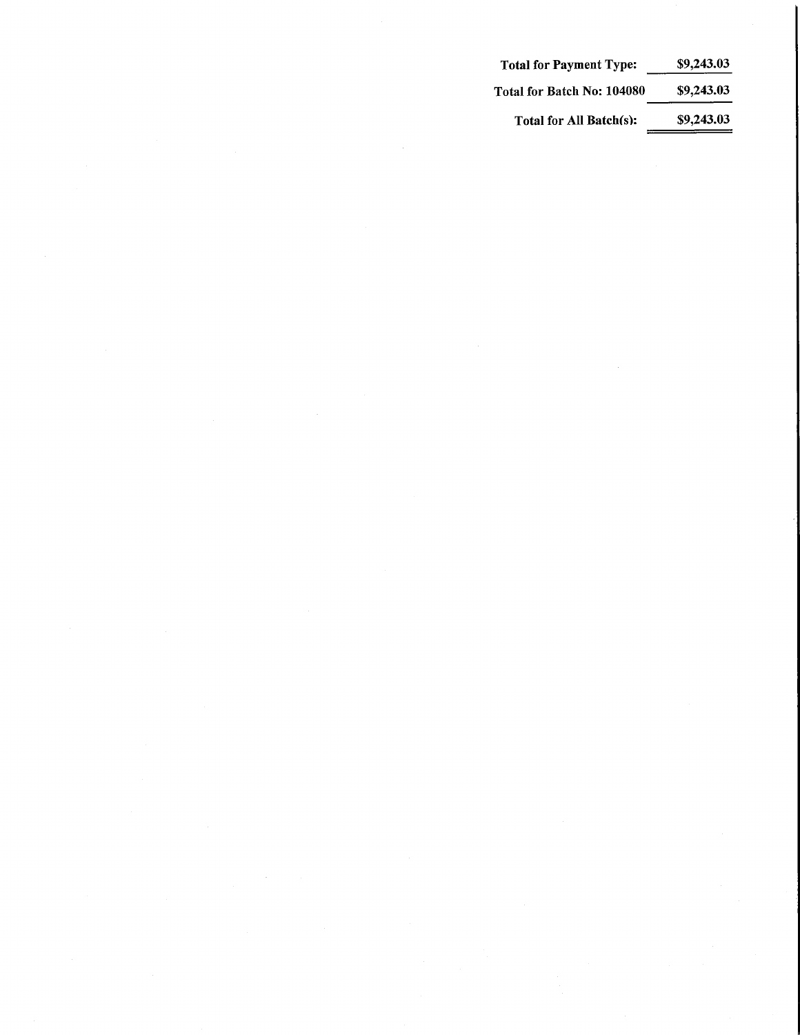| <b>Total for Payment Type:</b> | \$9,243.03 |
|--------------------------------|------------|
| Total for Batch No: 104080     | \$9,243.03 |
| Total for All Batch(s):        | \$9,243.03 |